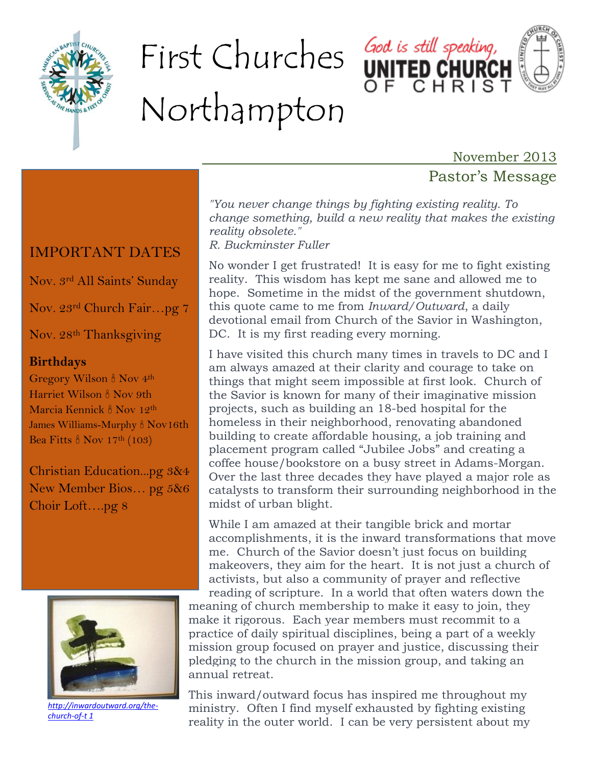

# First Churches God is still speaking, Northampton



November 2013

## Pastor's Message

*"You never change things by fighting existing reality. To change something, build a new reality that makes the existing reality obsolete." R. Buckminster Fuller*

No wonder I get frustrated! It is easy for me to fight existing reality. This wisdom has kept me sane and allowed me to hope. Sometime in the midst of the government shutdown, this quote came to me from *Inward/Outward*, a daily devotional email from Church of the Savior in Washington, DC. It is my first reading every morning.

I have visited this church many times in travels to DC and I am always amazed at their clarity and courage to take on things that might seem impossible at first look. Church of the Savior is known for many of their imaginative mission projects, such as building an 18-bed hospital for the homeless in their neighborhood, renovating abandoned building to create affordable housing, a job training and placement program called "Jubilee Jobs" and creating a coffee house/bookstore on a busy street in Adams-Morgan. Over the last three decades they have played a major role as catalysts to transform their surrounding neighborhood in the midst of urban blight.

While I am amazed at their tangible brick and mortar accomplishments, it is the inward transformations that move me. Church of the Savior doesn't just focus on building makeovers, they aim for the heart. It is not just a church of activists, but also a community of prayer and reflective

reading of scripture. In a world that often waters down the meaning of church membership to make it easy to join, they make it rigorous. Each year members must recommit to a practice of daily spiritual disciplines, being a part of a weekly mission group focused on prayer and justice, discussing their pledging to the church in the mission group, and taking an annual retreat.

This inward/outward focus has inspired me throughout my ministry. Often I find myself exhausted by fighting existing reality in the outer world. I can be very persistent about my

## IMPORTANT DATES

Nov. 3rd All Saints' Sunday

Nov. 23rd Church Fair…pg 7

Nov. 28<sup>th</sup> Thanksgiving

#### **Birthdays**

Gregory Wilson  $\frac{8}{9}$  Nov 4<sup>th</sup> Harriet Wilson  $\frac{8}{9}$  Nov 9th Marcia Kennick <sup>8</sup> Nov 12<sup>th</sup> James Williams-Murphy & Nov16th Bea Fitts  $\frac{8}{9}$  Nov 17<sup>th</sup> (103)

Christian Education...pg 3&4 New Member Bios… pg 5&6 Choir Loft….pg 8



*[http://inwardoutward.org/the](http://inwardoutward.org/the-church-of-the-saviour/)[church-of-t 1](http://inwardoutward.org/the-church-of-the-saviour/)*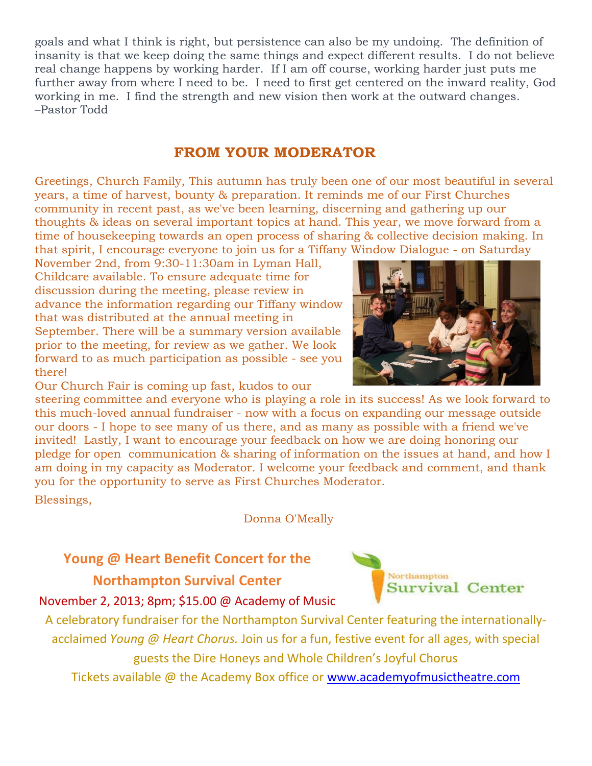goals and what I think is right, but persistence can also be my undoing. The definition of insanity is that we keep doing the same things and expect different results. I do not believe real change happens by working harder. If I am off course, working harder just puts me further away from where I need to be. I need to first get centered on the inward reality, God working in me. I find the strength and new vision then work at the outward changes. –Pastor Todd

### **FROM YOUR MODERATOR**

Greetings, Church Family, This autumn has truly been one of our most beautiful in several years, a time of harvest, bounty & preparation. It reminds me of our First Churches community in recent past, as we've been learning, discerning and gathering up our thoughts & ideas on several important topics at hand. This year, we move forward from a time of housekeeping towards an open process of sharing & collective decision making. In that spirit, I encourage everyone to join us for a Tiffany Window Dialogue - on Saturday

November 2nd, from 9:30-11:30am in Lyman Hall, Childcare available. To ensure adequate time for discussion during the meeting, please review in advance the information regarding our Tiffany window that was distributed at the annual meeting in September. There will be a summary version available prior to the meeting, for review as we gather. We look forward to as much participation as possible - see you there!

Our Church Fair is coming up fast, kudos to our

steering committee and everyone who is playing a role in its success! As we look forward to this much-loved annual fundraiser - now with a focus on expanding our message outside our doors - I hope to see many of us there, and as many as possible with a friend we've invited! Lastly, I want to encourage your feedback on how we are doing honoring our pledge for open communication & sharing of information on the issues at hand, and how I am doing in my capacity as Moderator. I welcome your feedback and comment, and thank you for the opportunity to serve as First Churches Moderator.

Blessings,

Donna O'Meally

## **Young @ Heart Benefit Concert for the Northampton Survival Center**

November 2, 2013; 8pm; \$15.00 @ Academy of Music

A celebratory fundraiser for the Northampton Survival Center featuring the internationallyacclaimed *Young @ Heart Chorus.* Join us for a fun, festive event for all ages, with special guests the Dire Honeys and Whole Children's Joyful Chorus

Tickets available @ the Academy Box office or [www.academyofmusictheatre.com](http://www.academyofmusictheatre.com/)



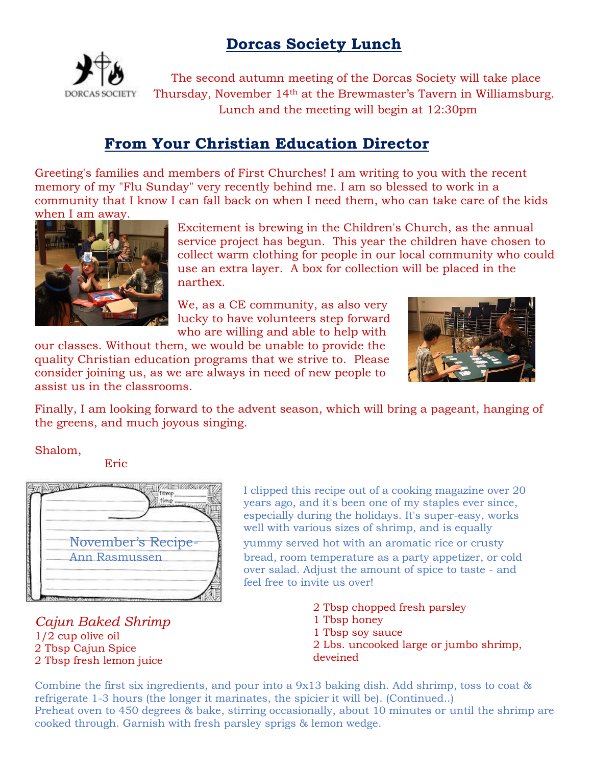## **Dorcas Society Lunch**



The second autumn meeting of the Dorcas Society will take place Thursday, November 14th at the Brewmaster's Tavern in Williamsburg. Lunch and the meeting will begin at 12:30pm

## **From Your Christian Education Director**

Greeting's families and members of First Churches! I am writing to you with the recent memory of my "Flu Sunday" very recently behind me. I am so blessed to work in a community that I know I can fall back on when I need them, who can take care of the kids when I am away.



Excitement is brewing in the Children's Church, as the annual service project has begun. This year the children have chosen to collect warm clothing for people in our local community who could use an extra layer. A box for collection will be placed in the narthex.

We, as a CE community, as also very lucky to have volunteers step forward who are willing and able to help with

our classes. Without them, we would be unable to provide the quality Christian education programs that we strive to. Please consider joining us, as we are always in need of new people to assist us in the classrooms.



Finally, I am looking forward to the advent season, which will bring a pageant, hanging of the greens, and much joyous singing.

Shalom,

Eric



#### *Cajun Baked Shrimp*  1/2 cup olive oil 2 Tbsp Cajun Spice 2 Tbsp fresh lemon juice

I clipped this recipe out of a cooking magazine over 20 years ago, and it's been one of my staples ever since, especially during the holidays. It's super-easy, works well with various sizes of shrimp, and is equally

November's Recipe- yummy served hot with an aromatic rice or crusty Ann Rasmussen bread, room temperature as a party appetizer, or cold over salad. Adjust the amount of spice to taste - and feel free to invite us over!

> 2 Tbsp chopped fresh parsley 1 Tbsp honey 1 Tbsp soy sauce 2 Lbs. uncooked large or jumbo shrimp, deveined

Combine the first six ingredients, and pour into a 9x13 baking dish. Add shrimp, toss to coat & refrigerate 1-3 hours (the longer it marinates, the spicier it will be). (Continued..) Preheat oven to 450 degrees & bake, stirring occasionally, about 10 minutes or until the shrimp are cooked through. Garnish with fresh parsley sprigs & lemon wedge.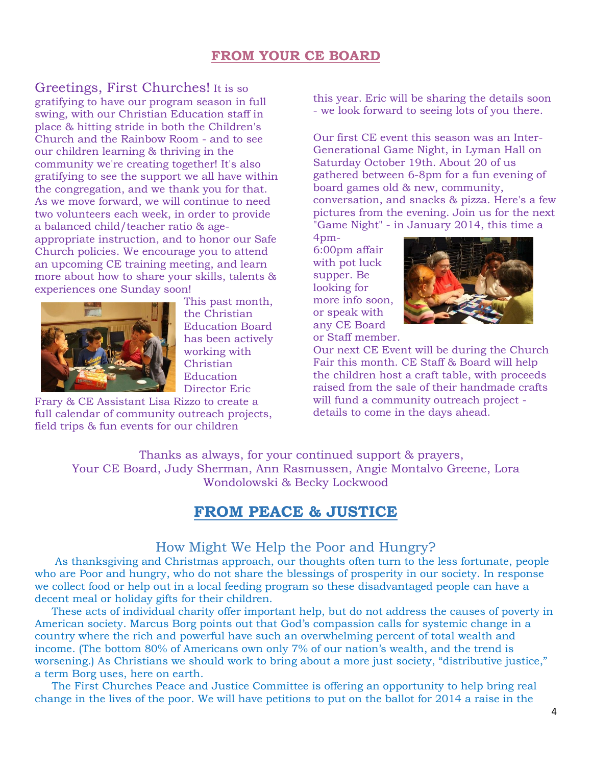#### **FROM YOUR CE BOARD**

Greetings, First Churches! It is so gratifying to have our program season in full swing, with our Christian Education staff in place & hitting stride in both the Children's Church and the Rainbow Room - and to see our children learning & thriving in the community we're creating together! It's also gratifying to see the support we all have within the congregation, and we thank you for that. As we move forward, we will continue to need two volunteers each week, in order to provide a balanced child/teacher ratio & ageappropriate instruction, and to honor our Safe Church policies. We encourage you to attend an upcoming CE training meeting, and learn more about how to share your skills, talents & experiences one Sunday soon!



This past month, the Christian Education Board has been actively working with Christian **Education** Director Eric

Frary & CE Assistant Lisa Rizzo to create a full calendar of community outreach projects, field trips & fun events for our children

this year. Eric will be sharing the details soon - we look forward to seeing lots of you there.

Our first CE event this season was an Inter-Generational Game Night, in Lyman Hall on Saturday October 19th. About 20 of us gathered between 6-8pm for a fun evening of board games old & new, community, conversation, and snacks & pizza. Here's a few pictures from the evening. Join us for the next "Game Night" - in January 2014, this time a

4pm-6:00pm affair with pot luck supper. Be looking for more info soon, or speak with any CE Board or Staff member.



Our next CE Event will be during the Church Fair this month. CE Staff & Board will help the children host a craft table, with proceeds raised from the sale of their handmade crafts will fund a community outreach project details to come in the days ahead.

Thanks as always, for your continued support & prayers, Your CE Board, Judy Sherman, Ann Rasmussen, Angie Montalvo Greene, Lora Wondolowski & Becky Lockwood

#### **FROM PEACE & JUSTICE**

#### How Might We Help the Poor and Hungry?

 As thanksgiving and Christmas approach, our thoughts often turn to the less fortunate, people who are Poor and hungry, who do not share the blessings of prosperity in our society. In response we collect food or help out in a local feeding program so these disadvantaged people can have a decent meal or holiday gifts for their children.

 These acts of individual charity offer important help, but do not address the causes of poverty in American society. Marcus Borg points out that God's compassion calls for systemic change in a country where the rich and powerful have such an overwhelming percent of total wealth and income. (The bottom 80% of Americans own only 7% of our nation's wealth, and the trend is worsening.) As Christians we should work to bring about a more just society, "distributive justice," a term Borg uses, here on earth.

 The First Churches Peace and Justice Committee is offering an opportunity to help bring real change in the lives of the poor. We will have petitions to put on the ballot for 2014 a raise in the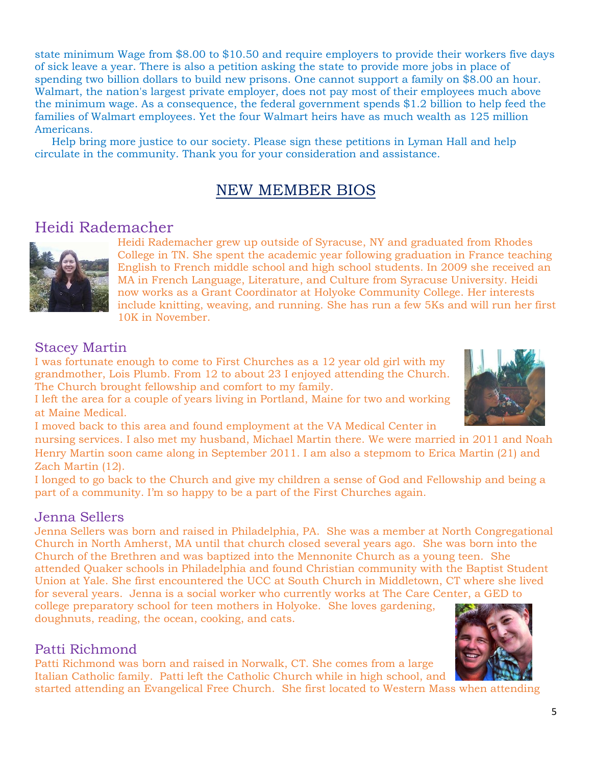state minimum Wage from \$8.00 to \$10.50 and require employers to provide their workers five days of sick leave a year. There is also a petition asking the state to provide more jobs in place of spending two billion dollars to build new prisons. One cannot support a family on \$8.00 an hour. Walmart, the nation's largest private employer, does not pay most of their employees much above the minimum wage. As a consequence, the federal government spends \$1.2 billion to help feed the families of Walmart employees. Yet the four Walmart heirs have as much wealth as 125 million Americans.

 Help bring more justice to our society. Please sign these petitions in Lyman Hall and help circulate in the community. Thank you for your consideration and assistance.

## NEW MEMBER BIOS

#### Heidi Rademacher



Heidi Rademacher grew up outside of Syracuse, NY and graduated from Rhodes College in TN. She spent the academic year following graduation in France teaching English to French middle school and high school students. In 2009 she received an MA in French Language, Literature, and Culture from Syracuse University. Heidi now works as a Grant Coordinator at Holyoke Community College. Her interests include knitting, weaving, and running. She has run a few 5Ks and will run her first 10K in November.

#### Stacey Martin

I was fortunate enough to come to First Churches as a 12 year old girl with my grandmother, Lois Plumb. From 12 to about 23 I enjoyed attending the Church. The Church brought fellowship and comfort to my family.

I left the area for a couple of years living in Portland, Maine for two and working at Maine Medical.

I moved back to this area and found employment at the VA Medical Center in

nursing services. I also met my husband, Michael Martin there. We were married in 2011 and Noah Henry Martin soon came along in September 2011. I am also a stepmom to Erica Martin (21) and Zach Martin (12).

I longed to go back to the Church and give my children a sense of God and Fellowship and being a part of a community. I'm so happy to be a part of the First Churches again.

#### Jenna Sellers

Jenna Sellers was born and raised in Philadelphia, PA. She was a member at North Congregational Church in North Amherst, MA until that church closed several years ago. She was born into the Church of the Brethren and was baptized into the Mennonite Church as a young teen. She attended Quaker schools in Philadelphia and found Christian community with the Baptist Student Union at Yale. She first encountered the UCC at South Church in Middletown, CT where she lived for several years. Jenna is a social worker who currently works at The Care Center, a GED to

college preparatory school for teen mothers in Holyoke. She loves gardening, doughnuts, reading, the ocean, cooking, and cats.

#### Patti Richmond

Patti Richmond was born and raised in Norwalk, CT. She comes from a large Italian Catholic family. Patti left the Catholic Church while in high school, and

started attending an Evangelical Free Church. She first located to Western Mass when attending



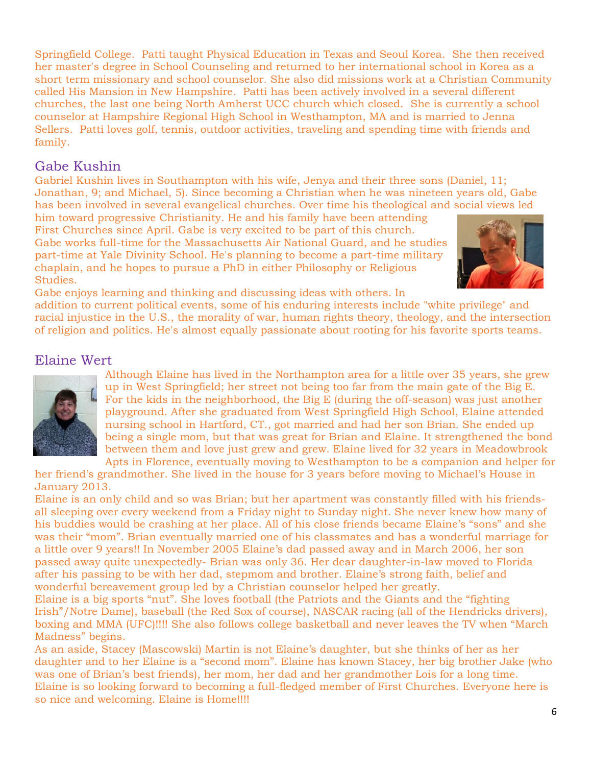Springfield College. Patti taught Physical Education in Texas and Seoul Korea. She then received her master's degree in School Counseling and returned to her international school in Korea as a short term missionary and school counselor. She also did missions work at a Christian Community called His Mansion in New Hampshire. Patti has been actively involved in a several different churches, the last one being North Amherst UCC church which closed. She is currently a school counselor at Hampshire Regional High School in Westhampton, MA and is married to Jenna Sellers. Patti loves golf, tennis, outdoor activities, traveling and spending time with friends and family.

#### Gabe Kushin

Gabriel Kushin lives in Southampton with his wife, Jenya and their three sons (Daniel, 11; Jonathan, 9; and Michael, 5). Since becoming a Christian when he was nineteen years old, Gabe has been involved in several evangelical churches. Over time his theological and social views led

him toward progressive Christianity. He and his family have been attending First Churches since April. Gabe is very excited to be part of this church. Gabe works full-time for the Massachusetts Air National Guard, and he studies part-time at Yale Divinity School. He's planning to become a part-time military chaplain, and he hopes to pursue a PhD in either Philosophy or Religious Studies.



Gabe enjoys learning and thinking and discussing ideas with others. In

addition to current political events, some of his enduring interests include "white privilege" and racial injustice in the U.S., the morality of war, human rights theory, theology, and the intersection of religion and politics. He's almost equally passionate about rooting for his favorite sports teams.

#### Elaine Wert



Although Elaine has lived in the Northampton area for a little over 35 years, she grew up in West Springfield; her street not being too far from the main gate of the Big E. For the kids in the neighborhood, the Big E (during the off-season) was just another playground. After she graduated from West Springfield High School, Elaine attended nursing school in Hartford, CT., got married and had her son Brian. She ended up being a single mom, but that was great for Brian and Elaine. It strengthened the bond between them and love just grew and grew. Elaine lived for 32 years in Meadowbrook Apts in Florence, eventually moving to Westhampton to be a companion and helper for

her friend's grandmother. She lived in the house for 3 years before moving to Michael's House in January 2013.

Elaine is an only child and so was Brian; but her apartment was constantly filled with his friendsall sleeping over every weekend from a Friday night to Sunday night. She never knew how many of his buddies would be crashing at her place. All of his close friends became Elaine's "sons" and she was their "mom". Brian eventually married one of his classmates and has a wonderful marriage for a little over 9 years!! In November 2005 Elaine's dad passed away and in March 2006, her son passed away quite unexpectedly- Brian was only 36. Her dear daughter-in-law moved to Florida after his passing to be with her dad, stepmom and brother. Elaine's strong faith, belief and wonderful bereavement group led by a Christian counselor helped her greatly.

Elaine is a big sports "nut". She loves football (the Patriots and the Giants and the "fighting Irish"/Notre Dame), baseball (the Red Sox of course), NASCAR racing (all of the Hendricks drivers), boxing and MMA (UFC)!!!! She also follows college basketball and never leaves the TV when "March Madness" begins.

As an aside, Stacey (Mascowski) Martin is not Elaine's daughter, but she thinks of her as her daughter and to her Elaine is a "second mom". Elaine has known Stacey, her big brother Jake (who was one of Brian's best friends), her mom, her dad and her grandmother Lois for a long time. Elaine is so looking forward to becoming a full-fledged member of First Churches. Everyone here is so nice and welcoming. Elaine is Home!!!!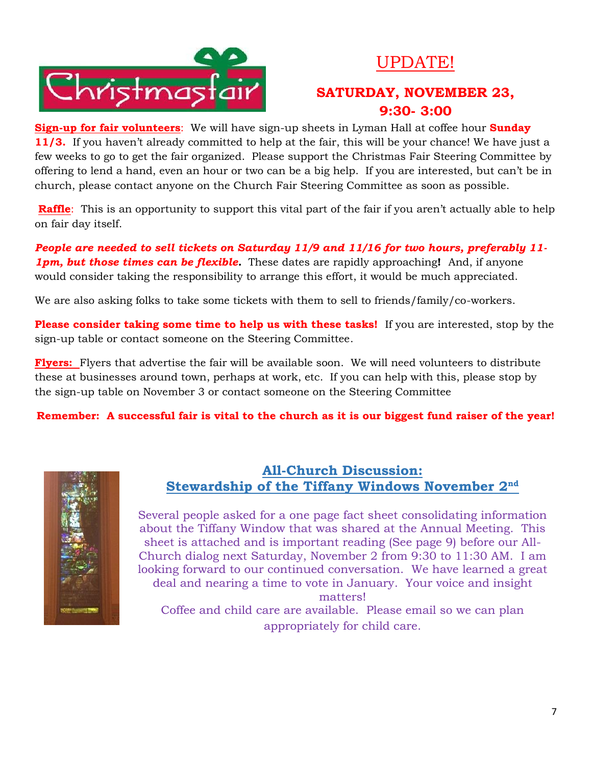

## UPDATE!

## **SATURDAY, NOVEMBER 23, 9:30- 3:00**

**Sign-up for fair volunteers**: We will have sign-up sheets in Lyman Hall at coffee hour **Sunday 11/3.** If you haven't already committed to help at the fair, this will be your chance! We have just a few weeks to go to get the fair organized. Please support the Christmas Fair Steering Committee by offering to lend a hand, even an hour or two can be a big help. If you are interested, but can't be in church, please contact anyone on the Church Fair Steering Committee as soon as possible.

**Raffle**: This is an opportunity to support this vital part of the fair if you aren't actually able to help on fair day itself.

*People are needed to sell tickets on Saturday 11/9 and 11/16 for two hours, preferably 11- 1pm, but those times can be flexible.* These dates are rapidly approaching**!** And, if anyone would consider taking the responsibility to arrange this effort, it would be much appreciated.

We are also asking folks to take some tickets with them to sell to friends/family/co-workers.

**Please consider taking some time to help us with these tasks!** If you are interested, stop by the sign-up table or contact someone on the Steering Committee.

**Flyers:** Flyers that advertise the fair will be available soon. We will need volunteers to distribute these at businesses around town, perhaps at work, etc. If you can help with this, please stop by the sign-up table on November 3 or contact someone on the Steering Committee

**Remember: A successful fair is vital to the church as it is our biggest fund raiser of the year!**



#### **All-Church Discussion: Stewardship of the Tiffany Windows November 2nd**

Several people asked for a one page fact sheet consolidating information about the Tiffany Window that was shared at the Annual Meeting. This sheet is attached and is important reading (See page 9) before our All-Church dialog next Saturday, November 2 from 9:30 to 11:30 AM. I am looking forward to our continued conversation. We have learned a great deal and nearing a time to vote in January. Your voice and insight matters! Coffee and child care are available. Please email so we can plan

appropriately for child care.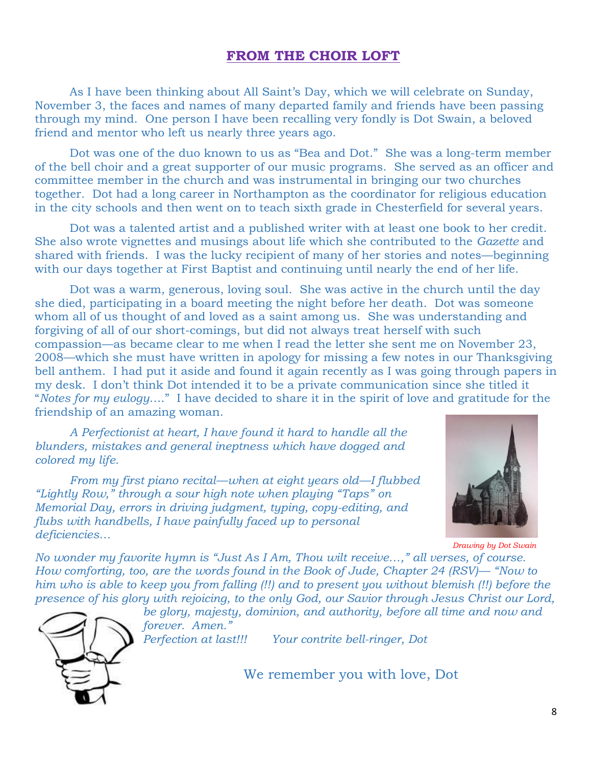#### **FROM THE CHOIR LOFT**

As I have been thinking about All Saint's Day, which we will celebrate on Sunday, November 3, the faces and names of many departed family and friends have been passing through my mind. One person I have been recalling very fondly is Dot Swain, a beloved friend and mentor who left us nearly three years ago.

Dot was one of the duo known to us as "Bea and Dot." She was a long-term member of the bell choir and a great supporter of our music programs. She served as an officer and committee member in the church and was instrumental in bringing our two churches together. Dot had a long career in Northampton as the coordinator for religious education in the city schools and then went on to teach sixth grade in Chesterfield for several years.

Dot was a talented artist and a published writer with at least one book to her credit. She also wrote vignettes and musings about life which she contributed to the *Gazette* and shared with friends. I was the lucky recipient of many of her stories and notes—beginning with our days together at First Baptist and continuing until nearly the end of her life.

Dot was a warm, generous, loving soul. She was active in the church until the day she died, participating in a board meeting the night before her death. Dot was someone whom all of us thought of and loved as a saint among us. She was understanding and forgiving of all of our short-comings, but did not always treat herself with such compassion—as became clear to me when I read the letter she sent me on November 23, 2008—which she must have written in apology for missing a few notes in our Thanksgiving bell anthem. I had put it aside and found it again recently as I was going through papers in my desk. I don't think Dot intended it to be a private communication since she titled it "*Notes for my eulogy*…." I have decided to share it in the spirit of love and gratitude for the friendship of an amazing woman.

*A Perfectionist at heart, I have found it hard to handle all the blunders, mistakes and general ineptness which have dogged and colored my life.*

*From my first piano recital—when at eight years old—I flubbed "Lightly Row," through a sour high note when playing "Taps" on Memorial Day, errors in driving judgment, typing, copy-editing, and flubs with handbells, I have painfully faced up to personal deficiencies…* 



*Drawing by Dot Swain*

*No wonder my favorite hymn is "Just As I Am, Thou wilt receive…," all verses, of course. How comforting, too, are the words found in the Book of Jude, Chapter 24 (RSV)— "Now to him who is able to keep you from falling (!!) and to present you without blemish (!!) before the presence of his glory with rejoicing, to the only God, our Savior through Jesus Christ our Lord,* 

*be glory, majesty, dominion, and authority, before all time and now and forever. Amen." Perfection at last!!! Your contrite bell-ringer, Dot*

We remember you with love, Dot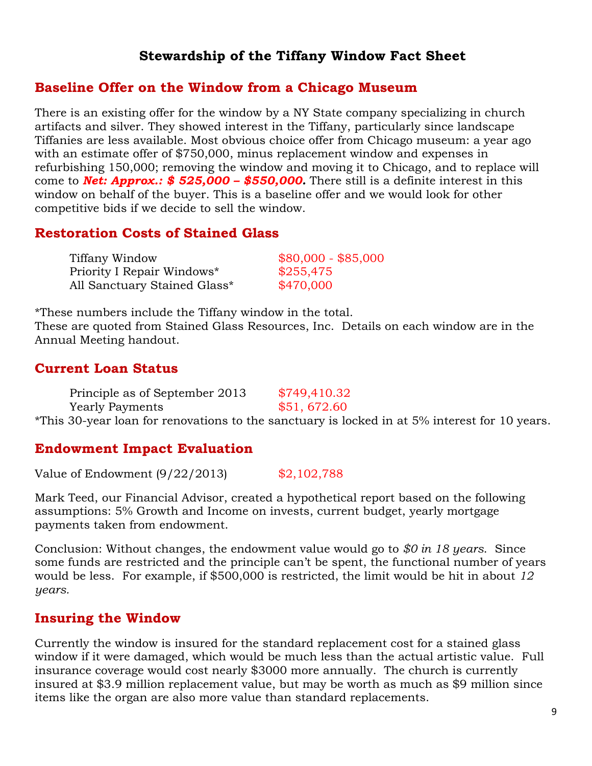#### **Stewardship of the Tiffany Window Fact Sheet**

#### **Baseline Offer on the Window from a Chicago Museum**

There is an existing offer for the window by a NY State company specializing in church artifacts and silver. They showed interest in the Tiffany, particularly since landscape Tiffanies are less available. Most obvious choice offer from Chicago museum: a year ago with an estimate offer of \$750,000, minus replacement window and expenses in refurbishing 150,000; removing the window and moving it to Chicago, and to replace will come to *Net: Approx.: \$ 525,000 – \$550,000.* There still is a definite interest in this window on behalf of the buyer. This is a baseline offer and we would look for other competitive bids if we decide to sell the window.

#### **Restoration Costs of Stained Glass**

| Tiffany Window               | $$80,000 - $85,000$ |
|------------------------------|---------------------|
| Priority I Repair Windows*   | \$255,475           |
| All Sanctuary Stained Glass* | \$470,000           |

\*These numbers include the Tiffany window in the total. These are quoted from Stained Glass Resources, Inc. Details on each window are in the Annual Meeting handout.

#### **Current Loan Status**

| Principle as of September 2013 | \$749,410.32                                                                                  |
|--------------------------------|-----------------------------------------------------------------------------------------------|
| <b>Yearly Payments</b>         | \$51,672.60                                                                                   |
|                                | *This 30-year loan for renovations to the sanctuary is locked in at 5% interest for 10 years. |

#### **Endowment Impact Evaluation**

Value of Endowment (9/22/2013) \$2,102,788

Mark Teed, our Financial Advisor, created a hypothetical report based on the following assumptions: 5% Growth and Income on invests, current budget, yearly mortgage payments taken from endowment.

Conclusion: Without changes, the endowment value would go to *\$0 in 18 years*. Since some funds are restricted and the principle can't be spent, the functional number of years would be less. For example, if \$500,000 is restricted, the limit would be hit in about *12 years.*

#### **Insuring the Window**

Currently the window is insured for the standard replacement cost for a stained glass window if it were damaged, which would be much less than the actual artistic value. Full insurance coverage would cost nearly \$3000 more annually. The church is currently insured at \$3.9 million replacement value, but may be worth as much as \$9 million since items like the organ are also more value than standard replacements.